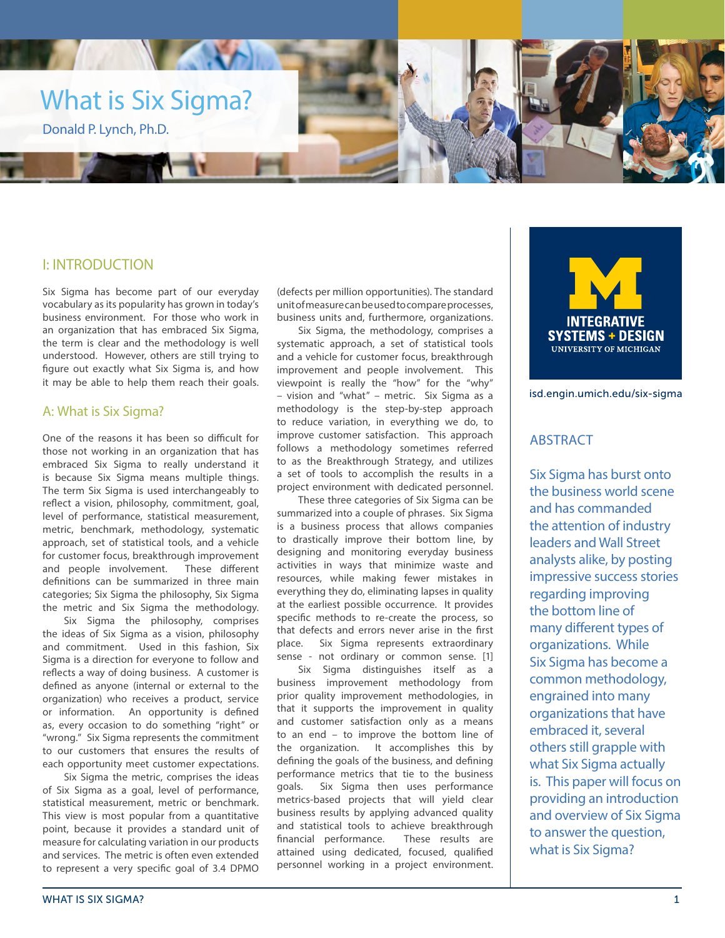

# I: INTRODUCTION

Six Sigma has become part of our everyday vocabulary as its popularity has grown in today's business environment. For those who work in an organization that has embraced Six Sigma, the term is clear and the methodology is well understood. However, others are still trying to figure out exactly what Six Sigma is, and how it may be able to help them reach their goals.

### A: What is Six Sigma?

One of the reasons it has been so difficult for those not working in an organization that has embraced Six Sigma to really understand it is because Six Sigma means multiple things. The term Six Sigma is used interchangeably to reflect a vision, philosophy, commitment, goal, level of performance, statistical measurement, metric, benchmark, methodology, systematic approach, set of statistical tools, and a vehicle for customer focus, breakthrough improvement and people involvement. These different definitions can be summarized in three main categories; Six Sigma the philosophy, Six Sigma the metric and Six Sigma the methodology.

Six Sigma the philosophy, comprises the ideas of Six Sigma as a vision, philosophy and commitment. Used in this fashion, Six Sigma is a direction for everyone to follow and reflects a way of doing business. A customer is defined as anyone (internal or external to the organization) who receives a product, service or information. An opportunity is defined as, every occasion to do something "right" or "wrong." Six Sigma represents the commitment to our customers that ensures the results of each opportunity meet customer expectations.

Six Sigma the metric, comprises the ideas of Six Sigma as a goal, level of performance, statistical measurement, metric or benchmark. This view is most popular from a quantitative point, because it provides a standard unit of measure for calculating variation in our products and services. The metric is often even extended to represent a very specific goal of 3.4 DPMO

(defects per million opportunities). The standard unit of measure can be used to compare processes, business units and, furthermore, organizations.

Six Sigma, the methodology, comprises a systematic approach, a set of statistical tools and a vehicle for customer focus, breakthrough improvement and people involvement. This viewpoint is really the "how" for the "why" – vision and "what" – metric. Six Sigma as a methodology is the step-by-step approach to reduce variation, in everything we do, to improve customer satisfaction. This approach follows a methodology sometimes referred to as the Breakthrough Strategy, and utilizes a set of tools to accomplish the results in a project environment with dedicated personnel.

These three categories of Six Sigma can be summarized into a couple of phrases. Six Sigma is a business process that allows companies to drastically improve their bottom line, by designing and monitoring everyday business activities in ways that minimize waste and resources, while making fewer mistakes in everything they do, eliminating lapses in quality at the earliest possible occurrence. It provides specific methods to re-create the process, so that defects and errors never arise in the first place. Six Sigma represents extraordinary sense - not ordinary or common sense. [1]

Six Sigma distinguishes itself as a business improvement methodology from prior quality improvement methodologies, in that it supports the improvement in quality and customer satisfaction only as a means to an end – to improve the bottom line of the organization. It accomplishes this by defining the goals of the business, and defining performance metrics that tie to the business goals. Six Sigma then uses performance metrics-based projects that will yield clear business results by applying advanced quality and statistical tools to achieve breakthrough financial performance. These results are attained using dedicated, focused, qualified personnel working in a project environment.

**INTEGRATIVE SYSTEMS + DESIGN UNIVERSITY OF MICHIGAN** 

isd.engin.umich.edu/six-sigma

# ABSTRACT

Six Sigma has burst onto the business world scene and has commanded the attention of industry leaders and Wall Street analysts alike, by posting impressive success stories regarding improving the bottom line of many different types of organizations. While Six Sigma has become a common methodology, engrained into many organizations that have embraced it, several others still grapple with what Six Sigma actually is. This paper will focus on providing an introduction and overview of Six Sigma to answer the question, what is Six Sigma?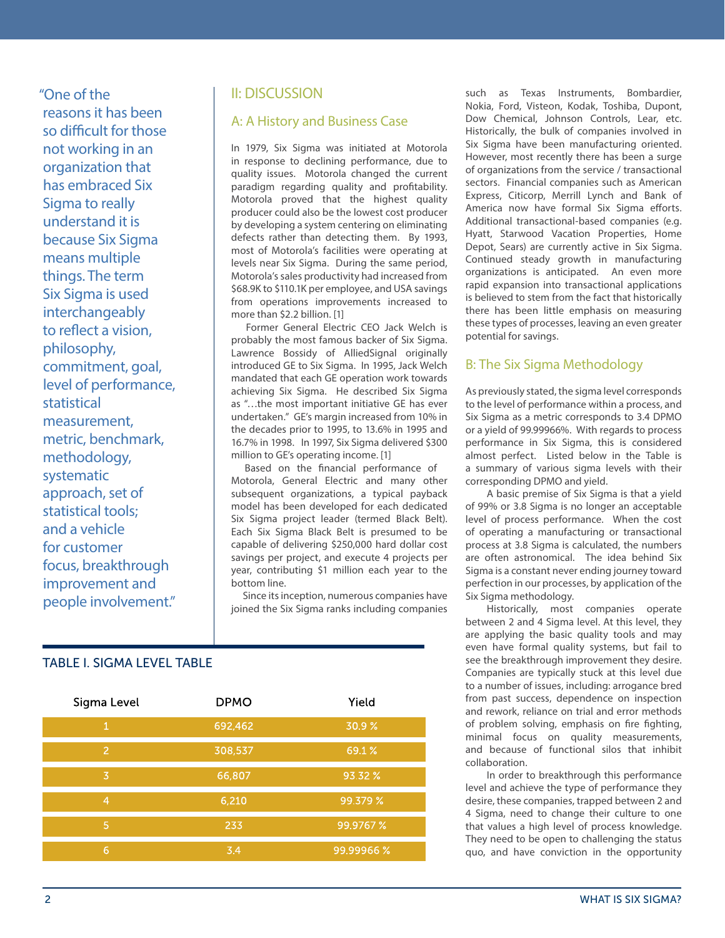"One of the reasons it has been so difficult for those not working in an organization that has embraced Six Sigma to really understand it is because Six Sigma means multiple things. The term Six Sigma is used interchangeably to reflect a vision, philosophy, commitment, goal, level of performance, statistical measurement, metric, benchmark, methodology, systematic approach, set of statistical tools; and a vehicle for customer focus, breakthrough improvement and people involvement."

# II: DISCUSSION

### A: A History and Business Case

In 1979, Six Sigma was initiated at Motorola in response to declining performance, due to quality issues. Motorola changed the current paradigm regarding quality and profitability. Motorola proved that the highest quality producer could also be the lowest cost producer by developing a system centering on eliminating defects rather than detecting them. By 1993, most of Motorola's facilities were operating at levels near Six Sigma. During the same period, Motorola's sales productivity had increased from \$68.9K to \$110.1K per employee, and USA savings from operations improvements increased to more than \$2.2 billion. [1]

 Former General Electric CEO Jack Welch is probably the most famous backer of Six Sigma. Lawrence Bossidy of AlliedSignal originally introduced GE to Six Sigma. In 1995, Jack Welch mandated that each GE operation work towards achieving Six Sigma. He described Six Sigma as "…the most important initiative GE has ever undertaken." GE's margin increased from 10% in the decades prior to 1995, to 13.6% in 1995 and 16.7% in 1998. In 1997, Six Sigma delivered \$300 million to GE's operating income. [1]

 Based on the financial performance of Motorola, General Electric and many other subsequent organizations, a typical payback model has been developed for each dedicated Six Sigma project leader (termed Black Belt). Each Six Sigma Black Belt is presumed to be capable of delivering \$250,000 hard dollar cost savings per project, and execute 4 projects per year, contributing \$1 million each year to the bottom line.

 Since its inception, numerous companies have joined the Six Sigma ranks including companies

### TABLE I. SIGMA LEVEL TABLE

| Sigma Level    | <b>DPMO</b> | Yield     |
|----------------|-------------|-----------|
| 1              | 692,462     | 30.9%     |
| 2              | 308,537     | 69.1%     |
| 3              | 66,807      | 93.32 %   |
| $\overline{4}$ | 6,210       | 99.379 %  |
| 5              | 233         | 99.9767 % |
| 6              | 3.4         | 99.99966% |

such as Texas Instruments, Bombardier, Nokia, Ford, Visteon, Kodak, Toshiba, Dupont, Dow Chemical, Johnson Controls, Lear, etc. Historically, the bulk of companies involved in Six Sigma have been manufacturing oriented. However, most recently there has been a surge of organizations from the service / transactional sectors. Financial companies such as American Express, Citicorp, Merrill Lynch and Bank of America now have formal Six Sigma efforts. Additional transactional-based companies (e.g. Hyatt, Starwood Vacation Properties, Home Depot, Sears) are currently active in Six Sigma. Continued steady growth in manufacturing organizations is anticipated. An even more rapid expansion into transactional applications is believed to stem from the fact that historically there has been little emphasis on measuring these types of processes, leaving an even greater potential for savings.

### B: The Six Sigma Methodology

As previously stated, the sigma level corresponds to the level of performance within a process, and Six Sigma as a metric corresponds to 3.4 DPMO or a yield of 99.99966%. With regards to process performance in Six Sigma, this is considered almost perfect. Listed below in the Table is a summary of various sigma levels with their corresponding DPMO and yield.

A basic premise of Six Sigma is that a yield of 99% or 3.8 Sigma is no longer an acceptable level of process performance. When the cost of operating a manufacturing or transactional process at 3.8 Sigma is calculated, the numbers are often astronomical. The idea behind Six Sigma is a constant never ending journey toward perfection in our processes, by application of the Six Sigma methodology.

Historically, most companies operate between 2 and 4 Sigma level. At this level, they are applying the basic quality tools and may even have formal quality systems, but fail to see the breakthrough improvement they desire. Companies are typically stuck at this level due to a number of issues, including: arrogance bred from past success, dependence on inspection and rework, reliance on trial and error methods of problem solving, emphasis on fire fighting, minimal focus on quality measurements, and because of functional silos that inhibit collaboration.

In order to breakthrough this performance level and achieve the type of performance they desire, these companies, trapped between 2 and 4 Sigma, need to change their culture to one that values a high level of process knowledge. They need to be open to challenging the status quo, and have conviction in the opportunity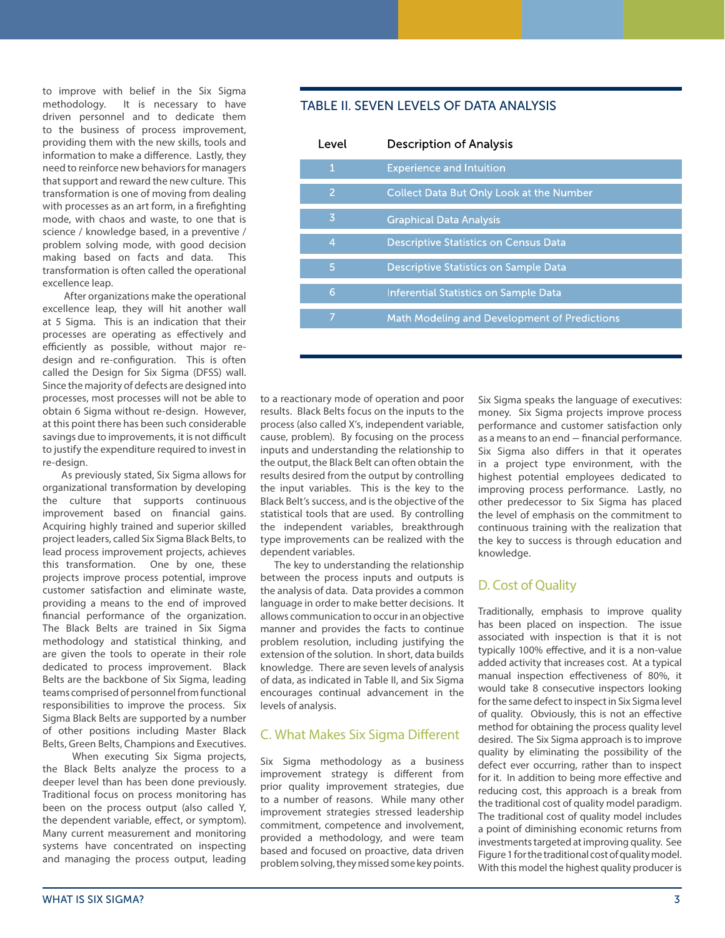to improve with belief in the Six Sigma methodology. It is necessary to have driven personnel and to dedicate them to the business of process improvement, providing them with the new skills, tools and information to make a difference. Lastly, they need to reinforce new behaviors for managers that support and reward the new culture. This transformation is one of moving from dealing with processes as an art form, in a firefighting mode, with chaos and waste, to one that is science / knowledge based, in a preventive / problem solving mode, with good decision making based on facts and data. This transformation is often called the operational excellence leap.

After organizations make the operational excellence leap, they will hit another wall at 5 Sigma. This is an indication that their processes are operating as effectively and efficiently as possible, without major redesign and re-configuration. This is often called the Design for Six Sigma (DFSS) wall. Since the majority of defects are designed into processes, most processes will not be able to obtain 6 Sigma without re-design. However, at this point there has been such considerable savings due to improvements, it is not difficult to justify the expenditure required to invest in re-design.

 As previously stated, Six Sigma allows for organizational transformation by developing the culture that supports continuous improvement based on financial gains. Acquiring highly trained and superior skilled project leaders, called Six Sigma Black Belts, to lead process improvement projects, achieves this transformation. One by one, these projects improve process potential, improve customer satisfaction and eliminate waste, providing a means to the end of improved financial performance of the organization. The Black Belts are trained in Six Sigma methodology and statistical thinking, and are given the tools to operate in their role dedicated to process improvement. Black Belts are the backbone of Six Sigma, leading teams comprised of personnel from functional responsibilities to improve the process. Six Sigma Black Belts are supported by a number of other positions including Master Black Belts, Green Belts, Champions and Executives.

 When executing Six Sigma projects, the Black Belts analyze the process to a deeper level than has been done previously. Traditional focus on process monitoring has been on the process output (also called Y, the dependent variable, effect, or symptom). Many current measurement and monitoring systems have concentrated on inspecting and managing the process output, leading

### TABLE II. SEVEN LEVELS OF DATA ANALYSIS

| Level          | Description of Analysis                         |
|----------------|-------------------------------------------------|
| $\mathbf{1}$   | <b>Experience and Intuition</b>                 |
| 2              | <b>Collect Data But Only Look at the Number</b> |
| 3              | <b>Graphical Data Analysis</b>                  |
| $\overline{4}$ | <b>Descriptive Statistics on Census Data</b>    |
| 5              | Descriptive Statistics on Sample Data           |
| 6              | Inferential Statistics on Sample Data           |
| 7              | Math Modeling and Development of Predictions    |
|                |                                                 |

to a reactionary mode of operation and poor results. Black Belts focus on the inputs to the process (also called X's, independent variable, cause, problem). By focusing on the process inputs and understanding the relationship to the output, the Black Belt can often obtain the results desired from the output by controlling the input variables. This is the key to the Black Belt's success, and is the objective of the statistical tools that are used. By controlling the independent variables, breakthrough type improvements can be realized with the dependent variables.

 The key to understanding the relationship between the process inputs and outputs is the analysis of data. Data provides a common language in order to make better decisions. It allows communication to occur in an objective manner and provides the facts to continue problem resolution, including justifying the extension of the solution. In short, data builds knowledge. There are seven levels of analysis of data, as indicated in Table II, and Six Sigma encourages continual advancement in the levels of analysis.

#### C. What Makes Six Sigma Different

Six Sigma methodology as a business improvement strategy is different from prior quality improvement strategies, due to a number of reasons. While many other improvement strategies stressed leadership commitment, competence and involvement, provided a methodology, and were team based and focused on proactive, data driven problem solving, they missed some key points. Six Sigma speaks the language of executives: money. Six Sigma projects improve process performance and customer satisfaction only as a means to an end - financial performance. Six Sigma also differs in that it operates in a project type environment, with the highest potential employees dedicated to improving process performance. Lastly, no other predecessor to Six Sigma has placed the level of emphasis on the commitment to continuous training with the realization that the key to success is through education and knowledge.

### D. Cost of Quality

Traditionally, emphasis to improve quality has been placed on inspection. The issue associated with inspection is that it is not typically 100% effective, and it is a non-value added activity that increases cost. At a typical manual inspection effectiveness of 80%, it would take 8 consecutive inspectors looking for the same defect to inspect in Six Sigma level of quality. Obviously, this is not an effective method for obtaining the process quality level desired. The Six Sigma approach is to improve quality by eliminating the possibility of the defect ever occurring, rather than to inspect for it. In addition to being more effective and reducing cost, this approach is a break from the traditional cost of quality model paradigm. The traditional cost of quality model includes a point of diminishing economic returns from investments targeted at improving quality. See Figure 1 for the traditional cost of quality model. With this model the highest quality producer is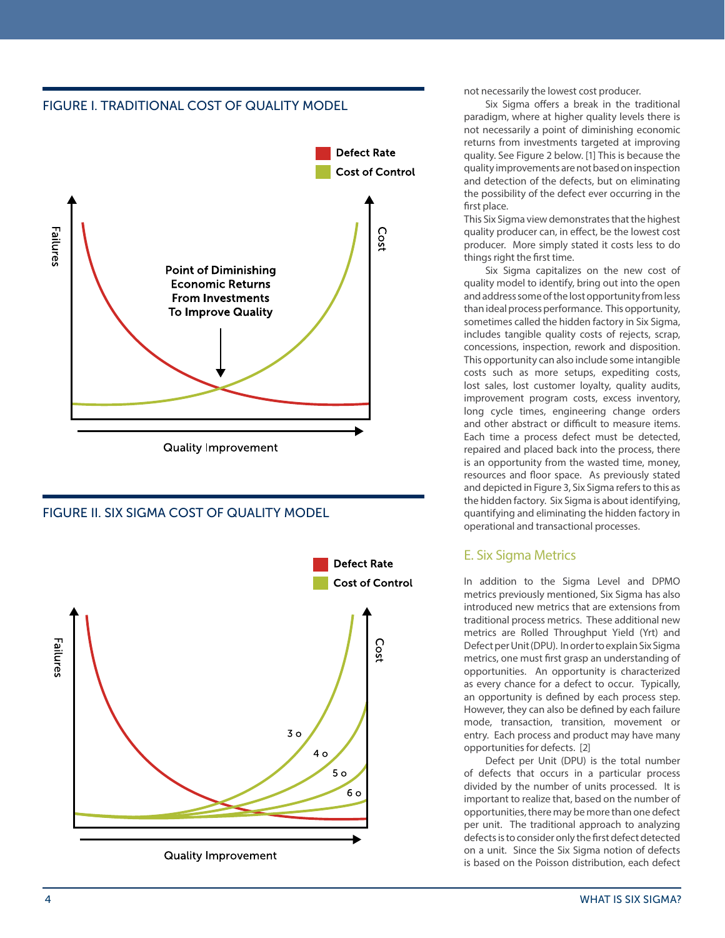

# FIGURE II. SIX SIGMA COST OF QUALITY MODEL



not necessarily the lowest cost producer.

Six Sigma offers a break in the traditional paradigm, where at higher quality levels there is not necessarily a point of diminishing economic returns from investments targeted at improving quality. See Figure 2 below. [1] This is because the quality improvements are not based on inspection and detection of the defects, but on eliminating the possibility of the defect ever occurring in the first place.

This Six Sigma view demonstrates that the highest quality producer can, in effect, be the lowest cost producer. More simply stated it costs less to do things right the first time.

Six Sigma capitalizes on the new cost of quality model to identify, bring out into the open and address some of the lost opportunity from less than ideal process performance. This opportunity, sometimes called the hidden factory in Six Sigma, includes tangible quality costs of rejects, scrap, concessions, inspection, rework and disposition. This opportunity can also include some intangible costs such as more setups, expediting costs, lost sales, lost customer loyalty, quality audits, improvement program costs, excess inventory, long cycle times, engineering change orders and other abstract or difficult to measure items. Each time a process defect must be detected, repaired and placed back into the process, there is an opportunity from the wasted time, money, resources and floor space. As previously stated and depicted in Figure 3, Six Sigma refers to this as the hidden factory. Six Sigma is about identifying, quantifying and eliminating the hidden factory in operational and transactional processes.

# E. Six Sigma Metrics

In addition to the Sigma Level and DPMO metrics previously mentioned, Six Sigma has also introduced new metrics that are extensions from traditional process metrics. These additional new metrics are Rolled Throughput Yield (Yrt) and Defect per Unit (DPU). In order to explain Six Sigma metrics, one must first grasp an understanding of opportunities. An opportunity is characterized as every chance for a defect to occur. Typically, an opportunity is defined by each process step. However, they can also be defined by each failure mode, transaction, transition, movement or entry. Each process and product may have many opportunities for defects. [2]

Defect per Unit (DPU) is the total number of defects that occurs in a particular process divided by the number of units processed. It is important to realize that, based on the number of opportunities, there may be more than one defect per unit. The traditional approach to analyzing defects is to consider only the first defect detected on a unit. Since the Six Sigma notion of defects is based on the Poisson distribution, each defect

#### 4 WHAT IS SIX SIGMA?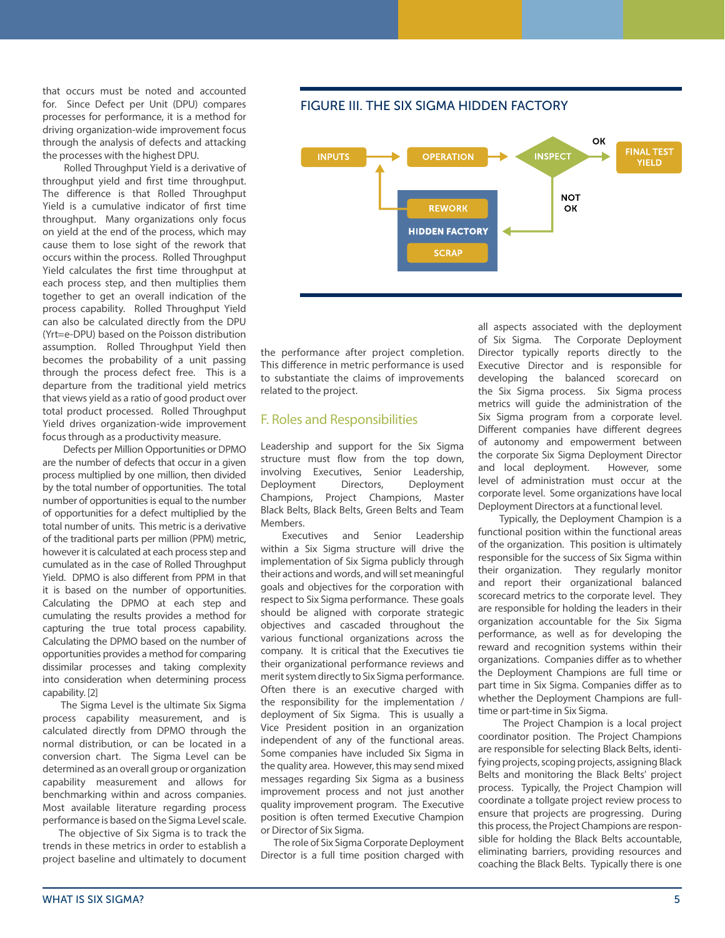that occurs must be noted and accounted for. Since Defect per Unit (DPU) compares processes for performance, it is a method for driving organization-wide improvement focus through the analysis of defects and attacking the processes with the highest DPU.

Rolled Throughput Yield is a derivative of throughput yield and first time throughput. The difference is that Rolled Throughput Yield is a cumulative indicator of first time throughput. Many organizations only focus on yield at the end of the process, which may cause them to lose sight of the rework that occurs within the process. Rolled Throughput Yield calculates the first time throughput at each process step, and then multiplies them together to get an overall indication of the process capability. Rolled Throughput Yield can also be calculated directly from the DPU (Yrt=e-DPU) based on the Poisson distribution assumption. Rolled Throughput Yield then becomes the probability of a unit passing through the process defect free. This is a departure from the traditional yield metrics that views yield as a ratio of good product over total product processed. Rolled Throughput Yield drives organization-wide improvement focus through as a productivity measure.

 Defects per Million Opportunities or DPMO are the number of defects that occur in a given process multiplied by one million, then divided by the total number of opportunities. The total number of opportunities is equal to the number of opportunities for a defect multiplied by the total number of units. This metric is a derivative of the traditional parts per million (PPM) metric, however it is calculated at each process step and cumulated as in the case of Rolled Throughput Yield. DPMO is also different from PPM in that it is based on the number of opportunities. Calculating the DPMO at each step and cumulating the results provides a method for capturing the true total process capability. Calculating the DPMO based on the number of opportunities provides a method for comparing dissimilar processes and taking complexity into consideration when determining process capability. [2]

 The Sigma Level is the ultimate Six Sigma process capability measurement, and is calculated directly from DPMO through the normal distribution, or can be located in a conversion chart. The Sigma Level can be determined as an overall group or organization capability measurement and allows for benchmarking within and across companies. Most available literature regarding process performance is based on the Sigma Level scale.

 The objective of Six Sigma is to track the trends in these metrics in order to establish a project baseline and ultimately to document FIGURE III. THE SIX SIGMA HIDDEN FACTORY



the performance after project completion. This difference in metric performance is used to substantiate the claims of improvements related to the project.

### F. Roles and Responsibilities

Leadership and support for the Six Sigma structure must flow from the top down, involving Executives, Senior Leadership, Deployment Directors, Deployment Champions, Project Champions, Master Black Belts, Black Belts, Green Belts and Team Members.

Executives and Senior Leadership within a Six Sigma structure will drive the implementation of Six Sigma publicly through their actions and words, and will set meaningful goals and objectives for the corporation with respect to Six Sigma performance. These goals should be aligned with corporate strategic objectives and cascaded throughout the various functional organizations across the company. It is critical that the Executives tie their organizational performance reviews and merit system directly to Six Sigma performance. Often there is an executive charged with the responsibility for the implementation / deployment of Six Sigma. This is usually a Vice President position in an organization independent of any of the functional areas. Some companies have included Six Sigma in the quality area. However, this may send mixed messages regarding Six Sigma as a business improvement process and not just another quality improvement program. The Executive position is often termed Executive Champion or Director of Six Sigma.

 The role of Six Sigma Corporate Deployment Director is a full time position charged with all aspects associated with the deployment of Six Sigma. The Corporate Deployment Director typically reports directly to the Executive Director and is responsible for developing the balanced scorecard on the Six Sigma process. Six Sigma process metrics will guide the administration of the Six Sigma program from a corporate level. Different companies have different degrees of autonomy and empowerment between the corporate Six Sigma Deployment Director and local deployment. However, some level of administration must occur at the corporate level. Some organizations have local Deployment Directors at a functional level.

Typically, the Deployment Champion is a functional position within the functional areas of the organization. This position is ultimately responsible for the success of Six Sigma within their organization. They regularly monitor and report their organizational balanced scorecard metrics to the corporate level. They are responsible for holding the leaders in their organization accountable for the Six Sigma performance, as well as for developing the reward and recognition systems within their organizations. Companies differ as to whether the Deployment Champions are full time or part time in Six Sigma. Companies differ as to whether the Deployment Champions are fulltime or part-time in Six Sigma.

The Project Champion is a local project coordinator position. The Project Champions are responsible for selecting Black Belts, identifying projects, scoping projects, assigning Black Belts and monitoring the Black Belts' project process. Typically, the Project Champion will coordinate a tollgate project review process to ensure that projects are progressing. During this process, the Project Champions are responsible for holding the Black Belts accountable, eliminating barriers, providing resources and coaching the Black Belts. Typically there is one